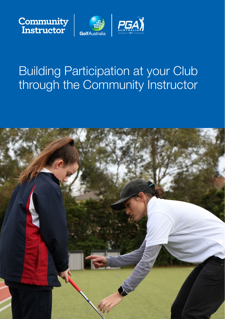





# Building Participation at your Club through the Community Instructor

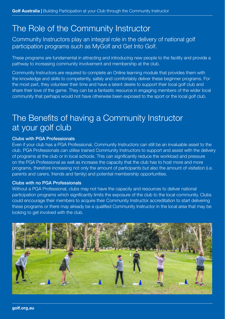### The Role of the Community Instructor

Community Instructors play an integral role in the delivery of national golf participation programs such as MyGolf and Get Into Golf.

These programs are fundamental in attracting and introducing new people to the facility and provide a pathway to increasing community involvement and membership at the club.

Community Instructors are required to complete an Online learning module that provides them with the knowledge and skills to competently, safely and comfortably deliver these beginner programs. For the most part, they volunteer their time and have a latent desire to support their local golf club and share their love of the game. They can be a fantastic resource in engaging members of the wider local community that perhaps would not have otherwise been exposed to the sport or the local golf club.

### The Benefits of having a Community Instructor at your golf club

#### Clubs with PGA Professionals

Even if your club has a PGA Professional, Community Instructors can still be an invaluable asset to the club. PGA Professionals can utilise trained Community Instructors to support and assist with the delivery of programs at the club or in local schools. This can significantly reduce the workload and pressure on the PGA Professional as well as increase the capacity that the club has to host more and more programs, therefore increasing not only the amount of participants but also the amount of visitation (i.e. parents and carers, friends and family) and potential membership opportunities.

#### Clubs with no PGA Professionals

Without a PGA Professional, clubs may not have the capacity and resources to deliver national participation programs which significantly limits the exposure of the club to the local community. Clubs could encourage their members to acquire their Community Instructor accreditation to start delivering these programs or there may already be a qualified Community Instructor in the local area that may be looking to get involved with the club.



golf.org.au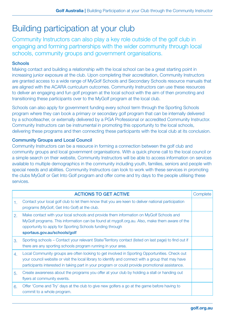## Building participation at your club

Community Instructors can also play a key role outside of the golf club in engaging and forming partnerships with the wider community through local schools, community groups and government organisations.

### **Schools**

Making contact and building a relationship with the local school can be a great starting point in increasing junior exposure at the club. Upon completing their accreditation, Community Instructors are granted access to a wide range of MyGolf Schools and Secondary Schools resource manuals that are aligned with the ACARA curriculum outcomes. Community Instructors can use these resources to deliver an engaging and fun golf program at the local school with the aim of then promoting and transitioning these participants over to the MyGolf program at the local club.

Schools can also apply for government funding every school term through the Sporting Schools program where they can book a primary or secondary golf program that can be internally delivered by a schoolteacher, or externally delivered by a PGA Professional or accredited Community Instructor. Community Instructors can be instrumental in promoting this opportunity to the local schools, delivering these programs and then connecting these participants with the local club at its conclusion.

#### Community Groups and Local Council

Community Instructors can be a resource in forming a connection between the golf club and community groups and local government organisations. With a quick phone call to the local council or a simple search on their website, Community Instructors will be able to access information on services available to multiple demographics in the community including youth, families, seniors and people with special needs and abilities. Community Instructors can look to work with these services in promoting the clubs MyGolf or Get Into Golf program and offer come and try days to the people utilising these services.

|    | <b>ACTIONS TO GET ACTIVE</b>                                                                                                                                                                                                                                                                           | Complete |
|----|--------------------------------------------------------------------------------------------------------------------------------------------------------------------------------------------------------------------------------------------------------------------------------------------------------|----------|
| 1. | Contact your local golf club to let them know that you are keen to deliver national participation<br>programs (MyGolf, Get Into Golf) at the club.                                                                                                                                                     |          |
| 2. | Make contact with your local schools and provide them information on MyGolf Schools and<br>MyGolf programs. This information can be found at mygolf.org.au. Also, make them aware of the<br>opportunity to apply for Sporting Schools funding through<br>sportaus.gov.au/schools/golf                  |          |
| 3. | Sporting schools – Contact your relevant State/Territory contact (listed on last page) to find out if<br>there are any sporting schools program running in your area.                                                                                                                                  |          |
| 4. | Local Community groups are often looking to get involved in Sporting Opportunities. Check out<br>your council website or visit the local library to identify and connect with a group that may have<br>participants interested in taking part in your program or could provide promotional assistance. |          |
| 5. | Create awareness about the programs you offer at your club by holding a stall or handing out<br>flyers at community events.                                                                                                                                                                            |          |
| 6. | Offer 'Come and Try' days at the club to give new golfers a go at the game before having to<br>commit to a whole program.                                                                                                                                                                              |          |